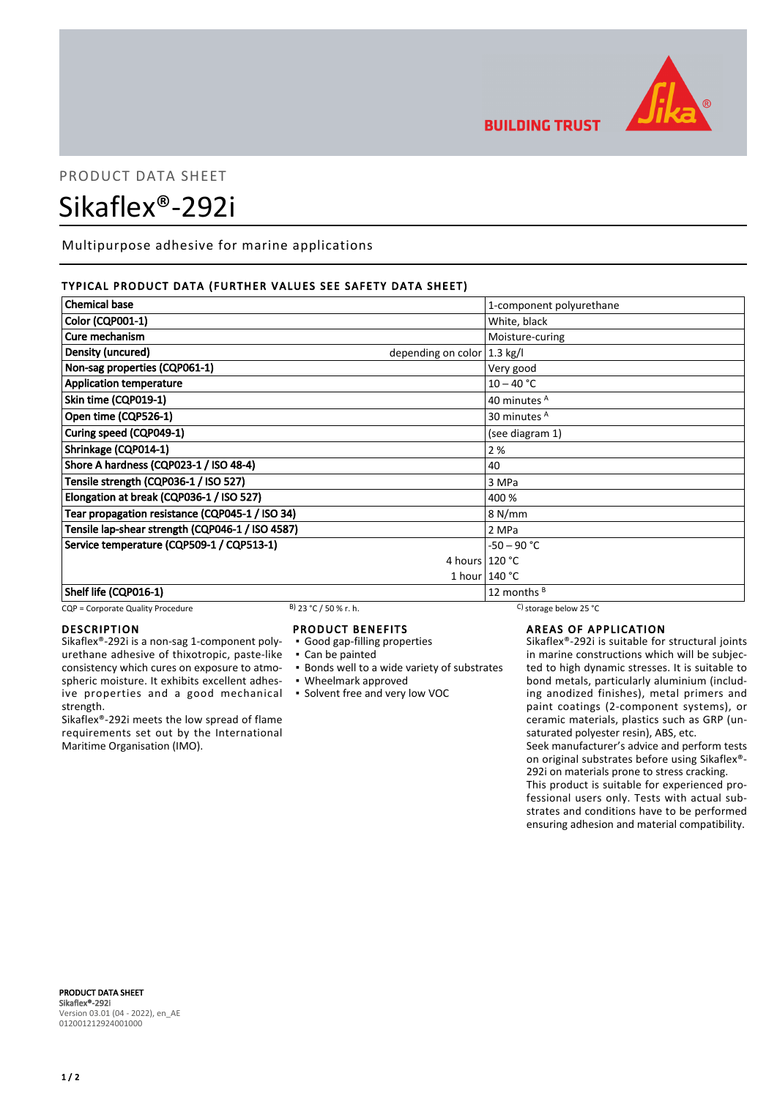

## **BUILDING TRUST**

# PRODUCT DATA SHEET Sikaflex®-292i

Multipurpose adhesive for marine applications

#### TYPICAL PRODUCT DATA (FURTHER VALUES SEE SAFETY DATA SHEET)

| <b>Chemical base</b>                                        | 1-component polyurethane |
|-------------------------------------------------------------|--------------------------|
| <b>Color (CQP001-1)</b>                                     | White, black             |
| Cure mechanism                                              | Moisture-curing          |
| Density (uncured)<br>depending on color $ 1.3 \text{ kg}/I$ |                          |
| Non-sag properties (CQP061-1)                               | Very good                |
| <b>Application temperature</b>                              | $10 - 40 °C$             |
| Skin time (CQP019-1)                                        | 40 minutes A             |
| Open time (CQP526-1)                                        | 30 minutes <sup>A</sup>  |
| Curing speed (CQP049-1)                                     | (see diagram 1)          |
| Shrinkage (CQP014-1)                                        | 2%                       |
| Shore A hardness (CQP023-1 / ISO 48-4)                      | 40                       |
| Tensile strength (CQP036-1 / ISO 527)                       | 3 MPa                    |
| Elongation at break (CQP036-1 / ISO 527)                    | 400 %                    |
| Tear propagation resistance (CQP045-1 / ISO 34)             | 8 N/mm                   |
| Tensile lap-shear strength (CQP046-1 / ISO 4587)            | 2 MPa                    |
| Service temperature (CQP509-1 / CQP513-1)                   | $-50 - 90 °C$            |
|                                                             | 4 hours $120 °C$         |
|                                                             | 1 hour $140 °C$          |
| Shelf life (CQP016-1)                                       | 12 months $B$            |

#### CQP = Corporate Quality Procedure B) 23 °C / 50 % r. h. C) storage below 25 °C

#### DESCRIPTION

Sikaflex®-292i is a non-sag 1-component polyurethane adhesive of thixotropic, paste-like consistency which cures on exposure to atmospheric moisture. It exhibits excellent adhesive properties and a good mechanical strength.

Sikaflex®-292i meets the low spread of flame requirements set out by the International Maritime Organisation (IMO).

#### PRODUCT BENEFITS

- Good gap-filling properties
- Can be painted
- **Bonds well to a wide variety of substrates**
- Wheelmark approved
- Solvent free and very low VOC

AREAS OF APPLICATION

Sikaflex®-292i is suitable for structural joints in marine constructions which will be subjected to high dynamic stresses. It is suitable to bond metals, particularly aluminium (including anodized finishes), metal primers and paint coatings (2-component systems), or ceramic materials, plastics such as GRP (unsaturated polyester resin), ABS, etc.

Seek manufacturer's advice and perform tests on original substrates before using Sikaflex®- 292i on materials prone to stress cracking.

This product is suitable for experienced professional users only. Tests with actual substrates and conditions have to be performed ensuring adhesion and material compatibility.